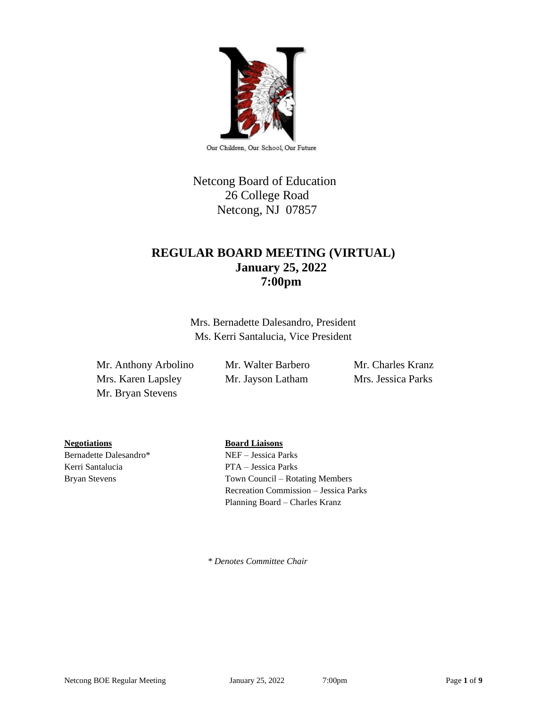

Our Children, Our School, Our Future

# Netcong Board of Education 26 College Road Netcong, NJ 07857

## **REGULAR BOARD MEETING (VIRTUAL) January 25, 2022 7:00pm**

Mrs. Bernadette Dalesandro, President Ms. Kerri Santalucia, Vice President

Mr. Anthony Arbolino Mr. Walter Barbero Mr. Charles Kranz Mrs. Karen Lapsley Mr. Jayson Latham Mrs. Jessica Parks Mr. Bryan Stevens

**Negotiations Board Liaisons**

Kerri Santalucia PTA – Jessica Parks

Bernadette Dalesandro\* NEF – Jessica Parks

Bryan Stevens Town Council – Rotating Members Recreation Commission – Jessica Parks Planning Board – Charles Kranz

 *\* Denotes Committee Chair*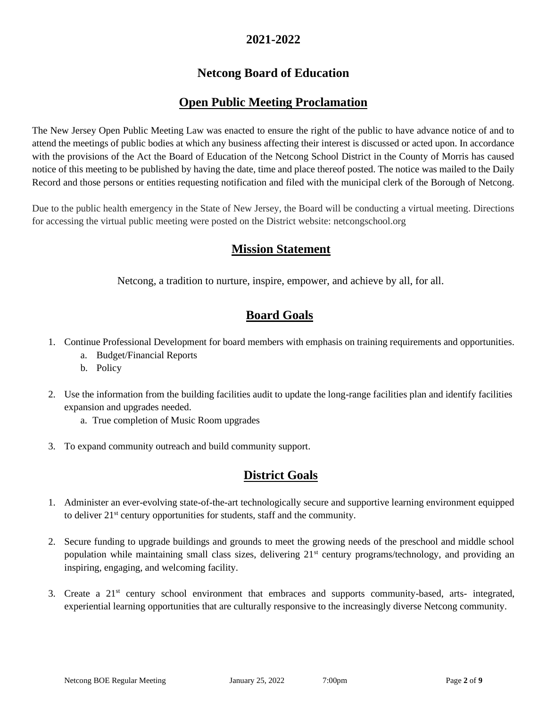### **2021-2022**

# **Netcong Board of Education**

## **Open Public Meeting Proclamation**

The New Jersey Open Public Meeting Law was enacted to ensure the right of the public to have advance notice of and to attend the meetings of public bodies at which any business affecting their interest is discussed or acted upon. In accordance with the provisions of the Act the Board of Education of the Netcong School District in the County of Morris has caused notice of this meeting to be published by having the date, time and place thereof posted. The notice was mailed to the Daily Record and those persons or entities requesting notification and filed with the municipal clerk of the Borough of Netcong.

Due to the public health emergency in the State of New Jersey, the Board will be conducting a virtual meeting. Directions for accessing the virtual public meeting were posted on the District website: netcongschool.org

## **Mission Statement**

Netcong, a tradition to nurture, inspire, empower, and achieve by all, for all.

## **Board Goals**

- 1. Continue Professional Development for board members with emphasis on training requirements and opportunities.
	- a. Budget/Financial Reports
	- b. Policy
- 2. Use the information from the building facilities audit to update the long-range facilities plan and identify facilities expansion and upgrades needed.
	- a. True completion of Music Room upgrades
- 3. To expand community outreach and build community support.

## **District Goals**

- 1. Administer an ever-evolving state-of-the-art technologically secure and supportive learning environment equipped to deliver 21st century opportunities for students, staff and the community.
- 2. Secure funding to upgrade buildings and grounds to meet the growing needs of the preschool and middle school population while maintaining small class sizes, delivering 21<sup>st</sup> century programs/technology, and providing an inspiring, engaging, and welcoming facility.
- 3. Create a 21st century school environment that embraces and supports community-based, arts- integrated, experiential learning opportunities that are culturally responsive to the increasingly diverse Netcong community.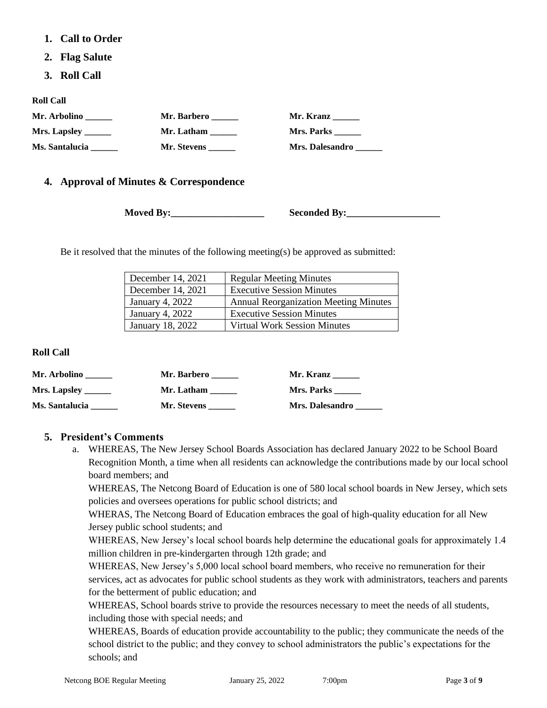- **1. Call to Order**
- **2. Flag Salute**
- **3. Roll Call**

**Roll Call**

| Mr. Arbolino        | Mr. Barbero | Mr. Kranz              |
|---------------------|-------------|------------------------|
| Mrs. Lapsley $\_\_$ | Mr. Latham  | <b>Mrs. Parks</b>      |
| Ms. Santalucia      | Mr. Stevens | <b>Mrs. Dalesandro</b> |

### **4. Approval of Minutes & Correspondence**

**Moved By:** Seconded By:

Be it resolved that the minutes of the following meeting(s) be approved as submitted:

| December 14, 2021 | <b>Regular Meeting Minutes</b>               |
|-------------------|----------------------------------------------|
| December 14, 2021 | <b>Executive Session Minutes</b>             |
| January 4, 2022   | <b>Annual Reorganization Meeting Minutes</b> |
| January 4, 2022   | <b>Executive Session Minutes</b>             |
| January 18, 2022  | <b>Virtual Work Session Minutes</b>          |

#### **Roll Call**

| Mr. Arbolino   | Mr. Barbero | Mr. Kranz              |
|----------------|-------------|------------------------|
|                | Mr. Latham  | Mrs. Parks             |
| Ms. Santalucia | Mr. Stevens | <b>Mrs. Dalesandro</b> |

### **5. President's Comments**

a. WHEREAS, The New Jersey School Boards Association has declared January 2022 to be School Board Recognition Month, a time when all residents can acknowledge the contributions made by our local school board members; and

WHEREAS, The Netcong Board of Education is one of 580 local school boards in New Jersey, which sets policies and oversees operations for public school districts; and

WHERAS, The Netcong Board of Education embraces the goal of high-quality education for all New Jersey public school students; and

WHEREAS, New Jersey's local school boards help determine the educational goals for approximately 1.4 million children in pre-kindergarten through 12th grade; and

WHEREAS, New Jersey's 5,000 local school board members, who receive no remuneration for their services, act as advocates for public school students as they work with administrators, teachers and parents for the betterment of public education; and

WHEREAS, School boards strive to provide the resources necessary to meet the needs of all students, including those with special needs; and

WHEREAS, Boards of education provide accountability to the public; they communicate the needs of the school district to the public; and they convey to school administrators the public's expectations for the schools; and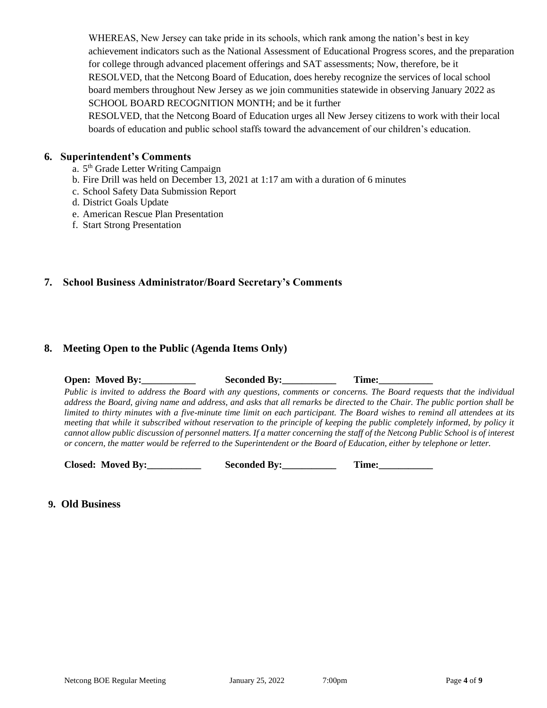WHEREAS, New Jersey can take pride in its schools, which rank among the nation's best in key achievement indicators such as the National Assessment of Educational Progress scores, and the preparation for college through advanced placement offerings and SAT assessments; Now, therefore, be it RESOLVED, that the Netcong Board of Education, does hereby recognize the services of local school board members throughout New Jersey as we join communities statewide in observing January 2022 as SCHOOL BOARD RECOGNITION MONTH; and be it further

RESOLVED, that the Netcong Board of Education urges all New Jersey citizens to work with their local boards of education and public school staffs toward the advancement of our children's education.

#### **6. Superintendent's Comments**

- a. 5<sup>th</sup> Grade Letter Writing Campaign
- b. Fire Drill was held on December 13, 2021 at 1:17 am with a duration of 6 minutes
- c. School Safety Data Submission Report
- d. District Goals Update
- e. American Rescue Plan Presentation
- f. Start Strong Presentation

### **7. School Business Administrator/Board Secretary's Comments**

### **8. Meeting Open to the Public (Agenda Items Only)**

**Open: Moved By:** Seconded By: Time: *Public is invited to address the Board with any questions, comments or concerns. The Board requests that the individual address the Board, giving name and address, and asks that all remarks be directed to the Chair. The public portion shall be limited to thirty minutes with a five-minute time limit on each participant. The Board wishes to remind all attendees at its meeting that while it subscribed without reservation to the principle of keeping the public completely informed, by policy it cannot allow public discussion of personnel matters. If a matter concerning the staff of the Netcong Public School is of interest or concern, the matter would be referred to the Superintendent or the Board of Education, either by telephone or letter.*

 **Closed: Moved By:\_\_\_\_\_\_\_\_\_\_\_ Seconded By:\_\_\_\_\_\_\_\_\_\_\_ Time:\_\_\_\_\_\_\_\_\_\_\_**

### **9. Old Business**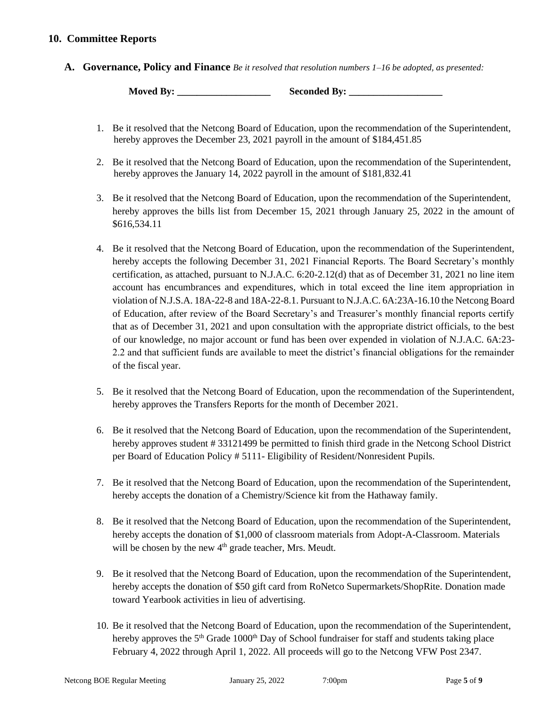### **10. Committee Reports**

**A. Governance, Policy and Finance** *Be it resolved that resolution numbers 1–16 be adopted, as presented:*

**Moved By:** Seconded By:

- 1. Be it resolved that the Netcong Board of Education, upon the recommendation of the Superintendent, hereby approves the December 23, 2021 payroll in the amount of \$184,451.85
- 2. Be it resolved that the Netcong Board of Education, upon the recommendation of the Superintendent, hereby approves the January 14, 2022 payroll in the amount of \$181,832.41
- 3. Be it resolved that the Netcong Board of Education, upon the recommendation of the Superintendent, hereby approves the bills list from December 15, 2021 through January 25, 2022 in the amount of \$616,534.11
- 4. Be it resolved that the Netcong Board of Education, upon the recommendation of the Superintendent, hereby accepts the following December 31, 2021 Financial Reports. The Board Secretary's monthly certification, as attached, pursuant to N.J.A.C. 6:20-2.12(d) that as of December 31, 2021 no line item account has encumbrances and expenditures, which in total exceed the line item appropriation in violation of N.J.S.A. 18A-22-8 and 18A-22-8.1. Pursuant to N.J.A.C. 6A:23A-16.10 the Netcong Board of Education, after review of the Board Secretary's and Treasurer's monthly financial reports certify that as of December 31, 2021 and upon consultation with the appropriate district officials, to the best of our knowledge, no major account or fund has been over expended in violation of N.J.A.C. 6A:23- 2.2 and that sufficient funds are available to meet the district's financial obligations for the remainder of the fiscal year.
- 5. Be it resolved that the Netcong Board of Education, upon the recommendation of the Superintendent, hereby approves the Transfers Reports for the month of December 2021.
- 6. Be it resolved that the Netcong Board of Education, upon the recommendation of the Superintendent, hereby approves student # 33121499 be permitted to finish third grade in the Netcong School District per Board of Education Policy # 5111- Eligibility of Resident/Nonresident Pupils.
- 7. Be it resolved that the Netcong Board of Education, upon the recommendation of the Superintendent, hereby accepts the donation of a Chemistry/Science kit from the Hathaway family.
- 8. Be it resolved that the Netcong Board of Education, upon the recommendation of the Superintendent, hereby accepts the donation of \$1,000 of classroom materials from Adopt-A-Classroom. Materials will be chosen by the new  $4<sup>th</sup>$  grade teacher, Mrs. Meudt.
- 9. Be it resolved that the Netcong Board of Education, upon the recommendation of the Superintendent, hereby accepts the donation of \$50 gift card from RoNetco Supermarkets/ShopRite. Donation made toward Yearbook activities in lieu of advertising.
- 10. Be it resolved that the Netcong Board of Education, upon the recommendation of the Superintendent, hereby approves the 5<sup>th</sup> Grade 1000<sup>th</sup> Day of School fundraiser for staff and students taking place February 4, 2022 through April 1, 2022. All proceeds will go to the Netcong VFW Post 2347.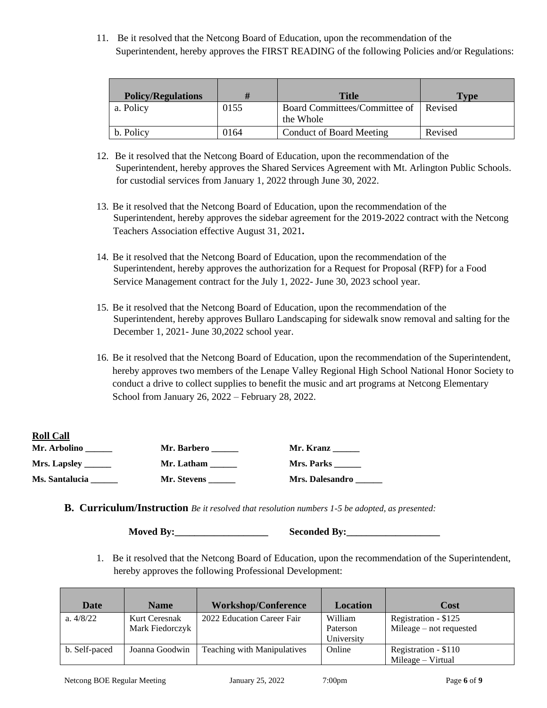11. Be it resolved that the Netcong Board of Education, upon the recommendation of the Superintendent, hereby approves the FIRST READING of the following Policies and/or Regulations:

| <b>Policy/Regulations</b> | H    | Title                                              | Tvpe    |
|---------------------------|------|----------------------------------------------------|---------|
| a. Policy                 | 0155 | Board Committees/Committee of Revised<br>the Whole |         |
| b. Policy                 | 0164 | <b>Conduct of Board Meeting</b>                    | Revised |

- 12. Be it resolved that the Netcong Board of Education, upon the recommendation of the Superintendent, hereby approves the Shared Services Agreement with Mt. Arlington Public Schools. for custodial services from January 1, 2022 through June 30, 2022.
- 13. Be it resolved that the Netcong Board of Education, upon the recommendation of the Superintendent, hereby approves the sidebar agreement for the 2019-2022 contract with the Netcong Teachers Association effective August 31, 2021**.**
- 14. Be it resolved that the Netcong Board of Education, upon the recommendation of the Superintendent, hereby approves the authorization for a Request for Proposal (RFP) for a Food Service Management contract for the July 1, 2022- June 30, 2023 school year.
- 15. Be it resolved that the Netcong Board of Education, upon the recommendation of the Superintendent, hereby approves Bullaro Landscaping for sidewalk snow removal and salting for the December 1, 2021- June 30,2022 school year.
- 16. Be it resolved that the Netcong Board of Education, upon the recommendation of the Superintendent, hereby approves two members of the Lenape Valley Regional High School National Honor Society to conduct a drive to collect supplies to benefit the music and art programs at Netcong Elementary School from January 26, 2022 – February 28, 2022.

| <b>Roll Call</b>      |                    |                        |
|-----------------------|--------------------|------------------------|
| Mr. Arbolino          | <b>Mr. Barbero</b> | Mr. Kranz              |
| Mrs. Lapsley _______  | Mr. Latham         | Mrs. Parks             |
| <b>Ms. Santalucia</b> | Mr. Stevens        | <b>Mrs. Dalesandro</b> |

**B. Curriculum/Instruction** *Be it resolved that resolution numbers 1-5 be adopted, as presented:*

**Moved By:** Seconded By:

1. Be it resolved that the Netcong Board of Education, upon the recommendation of the Superintendent, hereby approves the following Professional Development:

| Date          | <b>Name</b>                      | <b>Workshop/Conference</b>  | Location            | Cost                                              |
|---------------|----------------------------------|-----------------------------|---------------------|---------------------------------------------------|
| a. $4/8/22$   | Kurt Ceresnak<br>Mark Fiedorczyk | 2022 Education Career Fair  | William<br>Paterson | Registration - \$125<br>Mileage $-$ not requested |
|               |                                  |                             | University          |                                                   |
| b. Self-paced | Joanna Goodwin                   | Teaching with Manipulatives | Online              | Registration - \$110                              |
|               |                                  |                             |                     | $Mileage - Virtual$                               |

**Roll** Call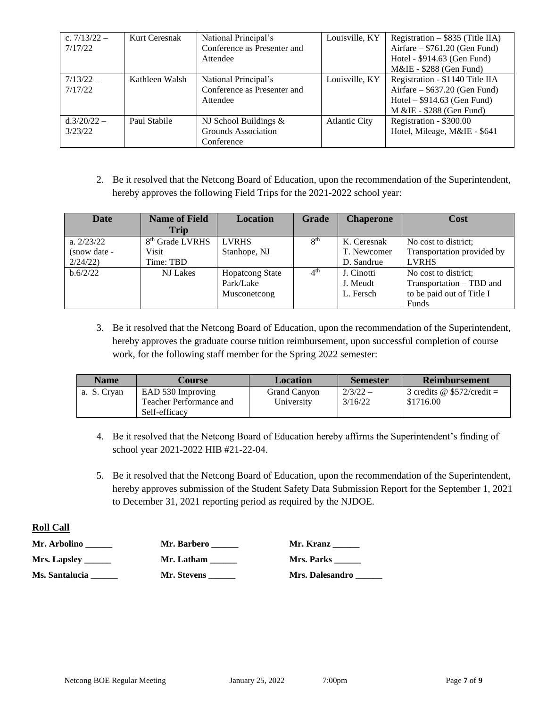| c. $7/13/22 -$<br>7/17/22 | Kurt Ceresnak  | National Principal's<br>Conference as Presenter and<br>Attendee | Louisville, KY       | Registration $-$ \$835 (Title IIA)<br>Airfare $-$ \$761.20 (Gen Fund)<br>Hotel - \$914.63 (Gen Fund)<br>$M\&I\&I 5288$ (Gen Fund) |
|---------------------------|----------------|-----------------------------------------------------------------|----------------------|-----------------------------------------------------------------------------------------------------------------------------------|
| $7/13/22 -$<br>7/17/22    | Kathleen Walsh | National Principal's<br>Conference as Presenter and<br>Attendee | Louisville, KY       | Registration - \$1140 Title IIA<br>Airfare $-$ \$637.20 (Gen Fund)<br>Hotel $-$ \$914.63 (Gen Fund)<br>M & IE - \$288 (Gen Fund)  |
| $d.3/20/22 -$<br>3/23/22  | Paul Stabile   | NJ School Buildings $&$<br>Grounds Association<br>Conference    | <b>Atlantic City</b> | Registration - \$300.00<br>Hotel, Mileage, M&IE - \$641                                                                           |

2. Be it resolved that the Netcong Board of Education, upon the recommendation of the Superintendent, hereby approves the following Field Trips for the 2021-2022 school year:

| <b>Date</b>  | <b>Name of Field</b><br><b>Trip</b> | <b>Location</b>        | Grade           | <b>Chaperone</b> | <b>Cost</b>                |
|--------------|-------------------------------------|------------------------|-----------------|------------------|----------------------------|
| a. $2/23/22$ | 8 <sup>th</sup> Grade LVRHS         | <b>LVRHS</b>           | 8 <sup>th</sup> | K. Ceresnak      | No cost to district;       |
| (snow date - | <b>Visit</b>                        | Stanhope, NJ           |                 | T. Newcomer      | Transportation provided by |
| 2/24/22      | Time: TBD                           |                        |                 | D. Sandrue       | <b>LVRHS</b>               |
| b.6/2/22     | <b>NJ</b> Lakes                     | <b>Hopatcong State</b> | $4^{\text{th}}$ | J. Cinotti       | No cost to district;       |
|              |                                     | Park/Lake              |                 | J. Meudt         | Transportation - TBD and   |
|              |                                     | Musconetcong           |                 | L. Fersch        | to be paid out of Title I  |
|              |                                     |                        |                 |                  | Funds                      |

3. Be it resolved that the Netcong Board of Education, upon the recommendation of the Superintendent, hereby approves the graduate course tuition reimbursement, upon successful completion of course work, for the following staff member for the Spring 2022 semester:

| <b>Name</b> | Course                  | <b>Location</b> | <b>Semester</b> | <b>Reimbursement</b>         |
|-------------|-------------------------|-----------------|-----------------|------------------------------|
| a. S. Cryan | EAD 530 Improving       | Grand Canyon    | $2/3/22 -$      | 3 credits @ $$572/cred$ it = |
|             | Teacher Performance and | University      | 3/16/22         | \$1716.00                    |
|             | Self-efficacy           |                 |                 |                              |

- 4. Be it resolved that the Netcong Board of Education hereby affirms the Superintendent's finding of school year 2021-2022 HIB #21-22-04.
- 5. Be it resolved that the Netcong Board of Education, upon the recommendation of the Superintendent, hereby approves submission of the Student Safety Data Submission Report for the September 1, 2021 to December 31, 2021 reporting period as required by the NJDOE.

#### **Roll Call**

| Mr. Arbolino                           | Mr. Barbero | Mr. Kranz       |
|----------------------------------------|-------------|-----------------|
| Mrs. Lapsley $\_\_\_\_\_\_\_\_\_\_\_\$ | Mr. Latham  | Mrs. Parks      |
| Ms. Santalucia                         | Mr. Stevens | Mrs. Dalesandro |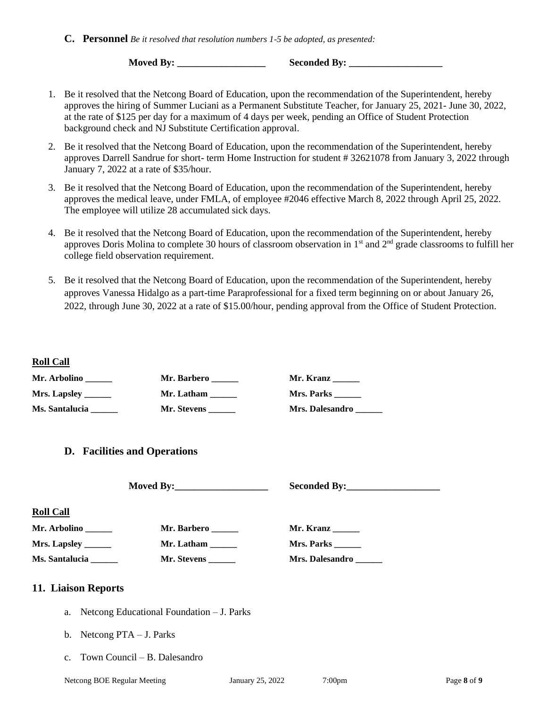**Moved By: \_\_\_\_\_\_\_\_\_\_\_\_\_\_\_\_\_\_ Seconded By: \_\_\_\_\_\_\_\_\_\_\_\_\_\_\_\_\_\_\_**

- 1. Be it resolved that the Netcong Board of Education, upon the recommendation of the Superintendent, hereby approves the hiring of Summer Luciani as a Permanent Substitute Teacher, for January 25, 2021- June 30, 2022, at the rate of \$125 per day for a maximum of 4 days per week, pending an Office of Student Protection background check and NJ Substitute Certification approval.
- 2. Be it resolved that the Netcong Board of Education, upon the recommendation of the Superintendent, hereby approves Darrell Sandrue for short- term Home Instruction for student # 32621078 from January 3, 2022 through January 7, 2022 at a rate of \$35/hour.
- 3. Be it resolved that the Netcong Board of Education, upon the recommendation of the Superintendent, hereby approves the medical leave, under FMLA, of employee #2046 effective March 8, 2022 through April 25, 2022. The employee will utilize 28 accumulated sick days.
- 4. Be it resolved that the Netcong Board of Education, upon the recommendation of the Superintendent, hereby approves Doris Molina to complete 30 hours of classroom observation in  $1<sup>st</sup>$  and  $2<sup>nd</sup>$  grade classrooms to fulfill her college field observation requirement.
- 5. Be it resolved that the Netcong Board of Education, upon the recommendation of the Superintendent, hereby approves Vanessa Hidalgo as a part-time Paraprofessional for a fixed term beginning on or about January 26, 2022, through June 30, 2022 at a rate of \$15.00/hour, pending approval from the Office of Student Protection.

#### **Roll Call**

| Mr. Arbolino                                                                                                | Mr. Barbero                                     | Mr. Kranz                                  |
|-------------------------------------------------------------------------------------------------------------|-------------------------------------------------|--------------------------------------------|
| Mrs. Lapsley ______                                                                                         | Mr. Latham $\frac{1}{\sqrt{1-\frac{1}{2}}}\$    | Mrs. Parks                                 |
| Ms. Santalucia ______                                                                                       | Mr. Stevens                                     | Mrs. Dalesandro ______                     |
| <b>D.</b> Facilities and Operations                                                                         |                                                 |                                            |
|                                                                                                             |                                                 |                                            |
| <b>Roll Call</b><br>Mr. Arbolino<br>Mrs. Lapsley _____<br>Ms. Santalucia ______                             | Mr. Barbero $\_\_$<br>Mr. Latham<br>Mr. Stevens | Mr. Kranz<br>Mrs. Parks<br>Mrs. Dalesandro |
| 11. Liaison Reports<br>a.<br>b. Netcong $PTA - J$ . Parks<br>Town Council – B. Dalesandro<br>$\mathbf{c}$ . | Netcong Educational Foundation - J. Parks       |                                            |
|                                                                                                             |                                                 |                                            |